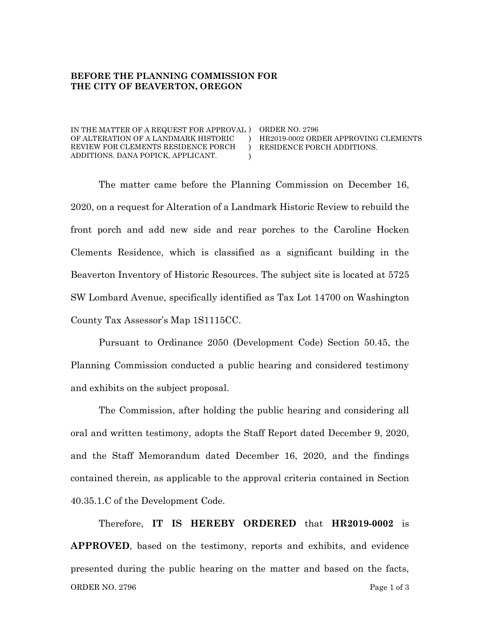## **BEFORE THE PLANNING COMMISSION FOR THE CITY OF BEAVERTON, OREGON**

IN THE MATTER OF A REQUEST FOR APPROVAL ) ORDER NO. 2796 OF ALTERATION OF A LANDMARK HISTORIC REVIEW FOR CLEMENTS RESIDENCE PORCH ADDITIONS. DANA POPICK, APPLICANT. )  $\lambda$ ) HR2019-0002 ORDER APPROVING CLEMENTS RESIDENCE PORCH ADDITIONS.

The matter came before the Planning Commission on December 16, 2020, on a request for Alteration of a Landmark Historic Review to rebuild the front porch and add new side and rear porches to the Caroline Hocken Clements Residence, which is classified as a significant building in the Beaverton Inventory of Historic Resources. The subject site is located at 5725 SW Lombard Avenue, specifically identified as Tax Lot 14700 on Washington County Tax Assessor's Map 1S1115CC.

Pursuant to Ordinance 2050 (Development Code) Section 50.45, the Planning Commission conducted a public hearing and considered testimony and exhibits on the subject proposal.

The Commission, after holding the public hearing and considering all oral and written testimony, adopts the Staff Report dated December 9, 2020, and the Staff Memorandum dated December 16, 2020, and the findings contained therein, as applicable to the approval criteria contained in Section 40.35.1.C of the Development Code.

ORDER NO. 2796 Page 1 of 3 Therefore, **IT IS HEREBY ORDERED** that **HR2019-0002** is **APPROVED**, based on the testimony, reports and exhibits, and evidence presented during the public hearing on the matter and based on the facts,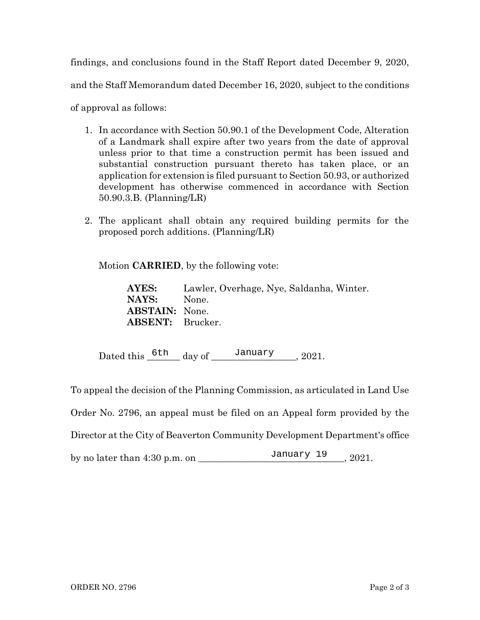findings, and conclusions found in the Staff Report dated December 9, 2020, and the Staff Memorandum dated December 16, 2020, subject to the conditions of approval as follows:

- 1. In accordance with Section 50.90.1 of the Development Code, Alteration of a Landmark shall expire after two years from the date of approval unless prior to that time a construction permit has been issued and substantial construction pursuant thereto has taken place, or an application for extension is filed pursuant to Section 50.93, or authorized development has otherwise commenced in accordance with Section 50.90.3.B. (Planning/LR)
- 2. The applicant shall obtain any required building permits for the proposed porch additions. (Planning/LR)

Motion **CARRIED**, by the following vote:

**AYES:** Lawler, Overhage, Nye, Saldanha, Winter. **NAYS:** None. **ABSTAIN:** None. **ABSENT:** Brucker.

Dated this  $\frac{6 \text{th}}{2}$  day of  $\frac{January}{January}$ , 2021.<br>
eal the decision of the Planning Commission, as artic<br>
No. 2796, an appeal must be filed on an Appeal for<br>
or at the City of Beaverton Community Development l To appeal the decision of the Planning Commission, as articulated in Land Use Order No. 2796, an appeal must be filed on an Appeal form provided by the Director at the City of Beaverton Community Development Department's office by no later than  $4:30$  p.m. on  $\overline{\phantom{0}}$  January  $19$ ,  $2021$ .